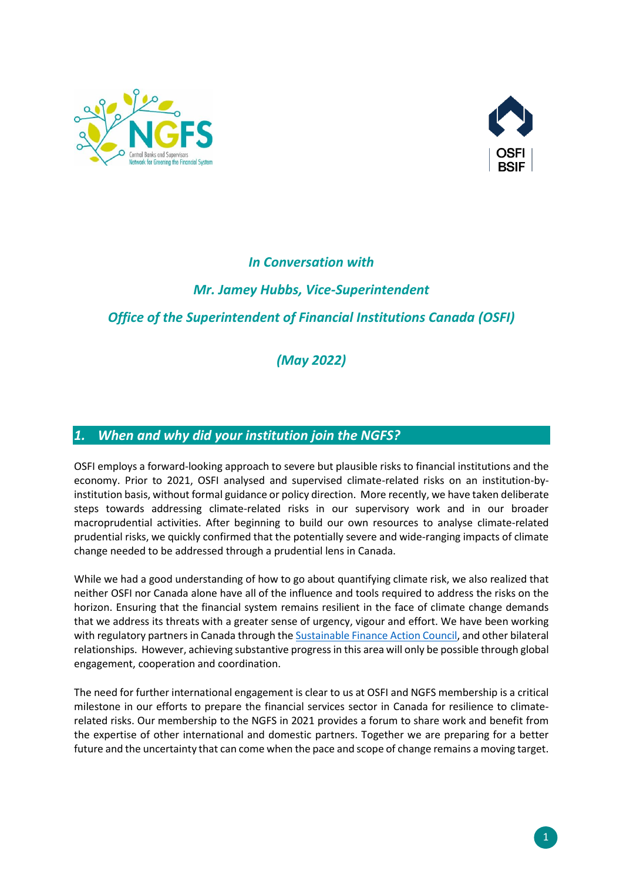



### *In Conversation with*

# *Mr. Jamey Hubbs, Vice-Superintendent Office of the Superintendent of Financial Institutions Canada (OSFI)*

### *(May 2022)*

#### *1. When and why did your institution join the NGFS?*

OSFI employs a forward-looking approach to severe but plausible risks to financial institutions and the economy. Prior to 2021, OSFI analysed and supervised climate-related risks on an institution-byinstitution basis, without formal guidance or policy direction. More recently, we have taken deliberate steps towards addressing climate-related risks in our supervisory work and in our broader macroprudential activities. After beginning to build our own resources to analyse climate-related prudential risks, we quickly confirmed that the potentially severe and wide-ranging impacts of climate change needed to be addressed through a prudential lens in Canada.

While we had a good understanding of how to go about quantifying climate risk, we also realized that neither OSFI nor Canada alone have all of the influence and tools required to address the risks on the horizon. Ensuring that the financial system remains resilient in the face of climate change demands that we address its threats with a greater sense of urgency, vigour and effort. We have been working with regulatory partners in Canada through th[e Sustainable Finance Action Council,](https://www.canada.ca/en/department-finance/news/2021/05/canada-launches-sustainable-finance-action-council.html) and other bilateral relationships. However, achieving substantive progress in this area will only be possible through global engagement, cooperation and coordination.

The need for further international engagement is clear to us at OSFI and NGFS membership is a critical milestone in our efforts to prepare the financial services sector in Canada for resilience to climaterelated risks. Our membership to the NGFS in 2021 provides a forum to share work and benefit from the expertise of other international and domestic partners. Together we are preparing for a better future and the uncertainty that can come when the pace and scope of change remains a moving target.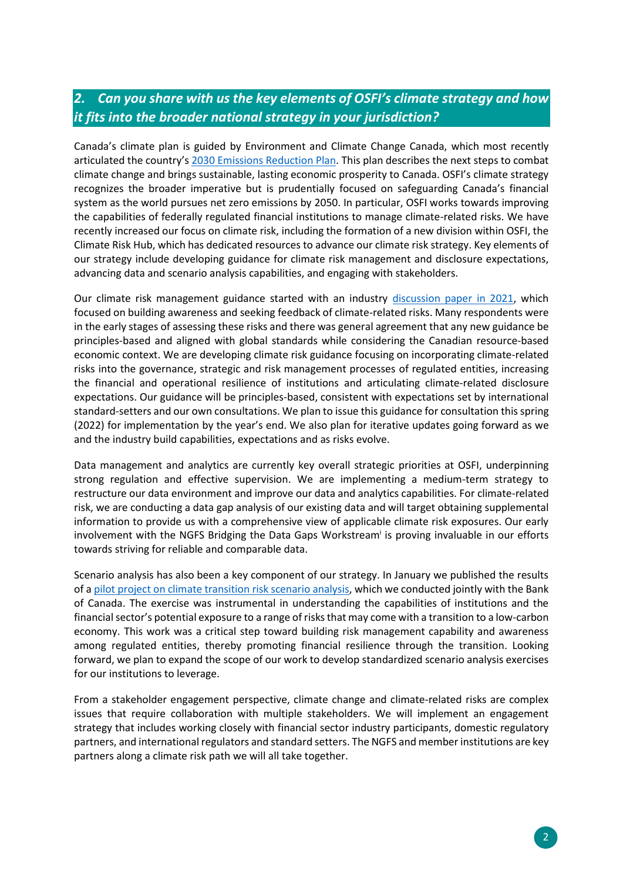## *2. Can you share with us the key elements of OSFI's climate strategy and how it fits into the broader national strategy in your jurisdiction?*

Canada's climate plan is guided by Environment and Climate Change Canada, which most recently articulated the country's [2030 Emissions Reduction Plan.](https://www.canada.ca/content/dam/eccc/documents/pdf/climate-change/erp/Canada-2030-Emissions-Reduction-Plan-eng.pdf) This plan describes the next steps to combat climate change and brings sustainable, lasting economic prosperity to Canada. OSFI's climate strategy recognizes the broader imperative but is prudentially focused on safeguarding Canada's financial system as the world pursues net zero emissions by 2050. In particular, OSFI works towards improving the capabilities of federally regulated financial institutions to manage climate-related risks. We have recently increased our focus on climate risk, including the formation of a new division within OSFI, the Climate Risk Hub, which has dedicated resources to advance our climate risk strategy. Key elements of our strategy include developing guidance for climate risk management and disclosure expectations, advancing data and scenario analysis capabilities, and engaging with stakeholders.

Our climate risk management guidance started with an industry [discussion paper in 2021,](https://www.osfi-bsif.gc.ca/Eng/osfi-bsif/med/Pages/clmt-rsk_nr.aspx) which focused on building awareness and seeking feedback of climate-related risks. Many respondents were in the early stages of assessing these risks and there was general agreement that any new guidance be principles-based and aligned with global standards while considering the Canadian resource-based economic context. We are developing climate risk guidance focusing on incorporating climate-related risks into the governance, strategic and risk management processes of regulated entities, increasing the financial and operational resilience of institutions and articulating climate-related disclosure expectations. Our guidance will be principles-based, consistent with expectations set by international standard-setters and our own consultations. We plan to issue this guidance for consultation this spring (2022) for implementation by the year's end. We also plan for iterative updates going forward as we and the industry build capabilities, expectations and as risks evolve.

Data management and analytics are currently key overall strategic priorities at OSFI, underpinning strong regulation and effective supervision. We are implementing a medium-term strategy to restructure our data environment and improve our data and analytics capabilities. For climate-related risk, we are conducting a data gap analysis of our existing data and will target obtaining supplemental information to provide us with a comprehensive view of applicable climate risk exposures. Our early involvement with the NGFS Bridging the Data Gaps Workstream<sup>i</sup> is proving invaluable in our efforts towards striving for reliable and comparable data.

Scenario analysis has also been a key component of our strategy. In January we published the results of a [pilot project on climate transition risk scenario analysis,](https://www.osfi-bsif.gc.ca/Eng/osfi-bsif/med/Pages/clrsk-mgm_nr.aspx) which we conducted jointly with the Bank of Canada. The exercise was instrumental in understanding the capabilities of institutions and the financial sector's potential exposure to a range of risks that may come with a transition to a low-carbon economy. This work was a critical step toward building risk management capability and awareness among regulated entities, thereby promoting financial resilience through the transition. Looking forward, we plan to expand the scope of our work to develop standardized scenario analysis exercises for our institutions to leverage.

From a stakeholder engagement perspective, climate change and climate-related risks are complex issues that require collaboration with multiple stakeholders. We will implement an engagement strategy that includes working closely with financial sector industry participants, domestic regulatory partners, and international regulators and standard setters. The NGFS and member institutions are key partners along a climate risk path we will all take together.